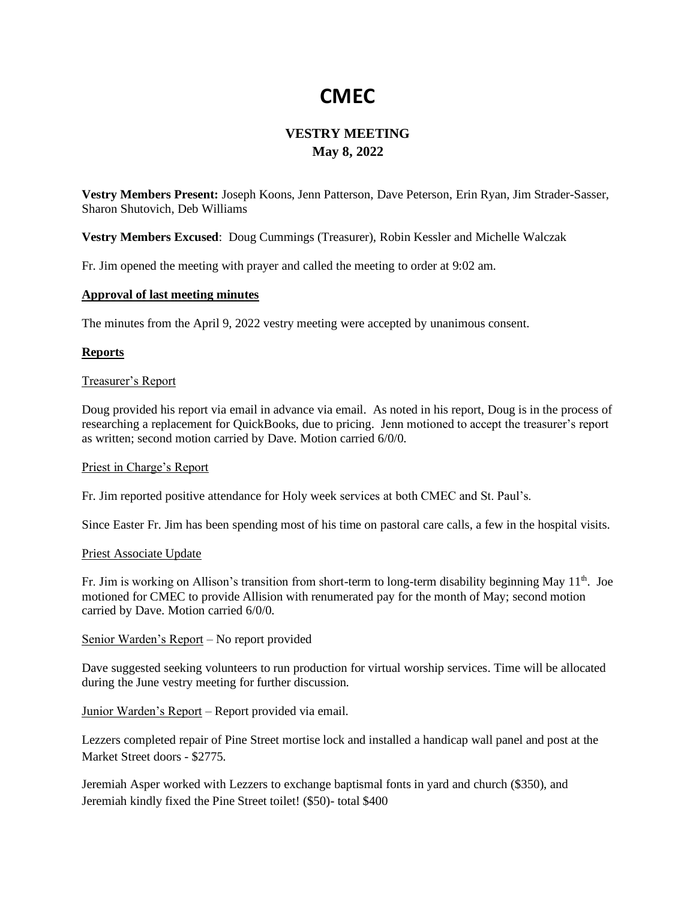# **CMEC**

# **VESTRY MEETING May 8, 2022**

**Vestry Members Present:** Joseph Koons, Jenn Patterson, Dave Peterson, Erin Ryan, Jim Strader-Sasser, Sharon Shutovich, Deb Williams

**Vestry Members Excused**: Doug Cummings (Treasurer), Robin Kessler and Michelle Walczak

Fr. Jim opened the meeting with prayer and called the meeting to order at 9:02 am.

# **Approval of last meeting minutes**

The minutes from the April 9, 2022 vestry meeting were accepted by unanimous consent.

# **Reports**

### Treasurer's Report

Doug provided his report via email in advance via email. As noted in his report, Doug is in the process of researching a replacement for QuickBooks, due to pricing. Jenn motioned to accept the treasurer's report as written; second motion carried by Dave. Motion carried 6/0/0.

### Priest in Charge's Report

Fr. Jim reported positive attendance for Holy week services at both CMEC and St. Paul's.

Since Easter Fr. Jim has been spending most of his time on pastoral care calls, a few in the hospital visits.

### Priest Associate Update

Fr. Jim is working on Allison's transition from short-term to long-term disability beginning May  $11<sup>th</sup>$ . Joe motioned for CMEC to provide Allision with renumerated pay for the month of May; second motion carried by Dave. Motion carried 6/0/0.

Senior Warden's Report – No report provided

Dave suggested seeking volunteers to run production for virtual worship services. Time will be allocated during the June vestry meeting for further discussion.

Junior Warden's Report – Report provided via email.

Lezzers completed repair of Pine Street mortise lock and installed a handicap wall panel and post at the Market Street doors - \$2775.

Jeremiah Asper worked with Lezzers to exchange baptismal fonts in yard and church (\$350), and Jeremiah kindly fixed the Pine Street toilet! (\$50)- total \$400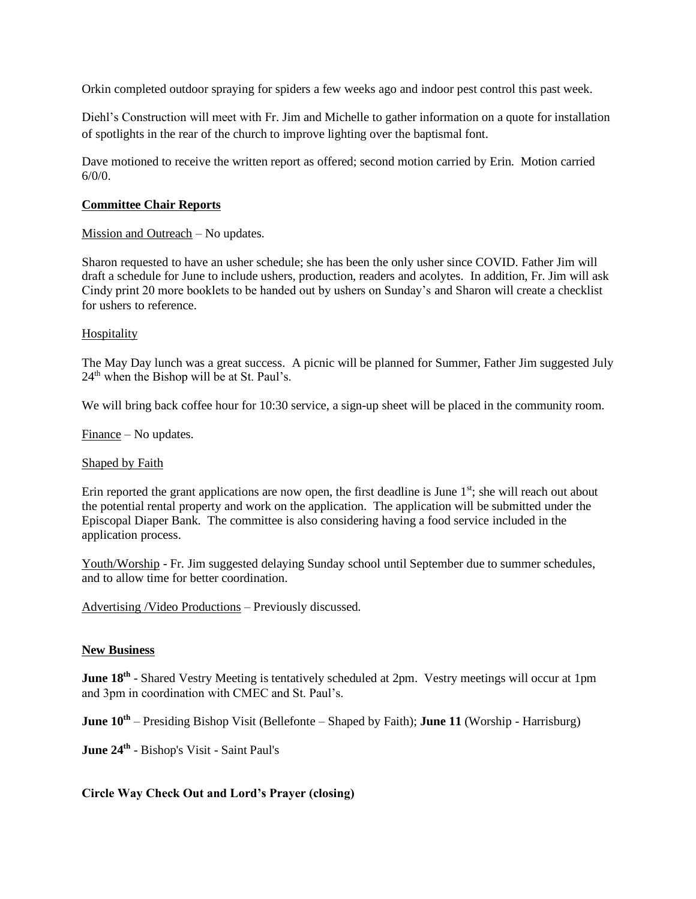Orkin completed outdoor spraying for spiders a few weeks ago and indoor pest control this past week.

Diehl's Construction will meet with Fr. Jim and Michelle to gather information on a quote for installation of spotlights in the rear of the church to improve lighting over the baptismal font.

Dave motioned to receive the written report as offered; second motion carried by Erin. Motion carried 6/0/0.

# **Committee Chair Reports**

# Mission and Outreach – No updates.

Sharon requested to have an usher schedule; she has been the only usher since COVID. Father Jim will draft a schedule for June to include ushers, production, readers and acolytes. In addition, Fr. Jim will ask Cindy print 20 more booklets to be handed out by ushers on Sunday's and Sharon will create a checklist for ushers to reference.

# Hospitality

The May Day lunch was a great success. A picnic will be planned for Summer, Father Jim suggested July  $24<sup>th</sup>$  when the Bishop will be at St. Paul's.

We will bring back coffee hour for 10:30 service, a sign-up sheet will be placed in the community room.

Finance – No updates.

### Shaped by Faith

Erin reported the grant applications are now open, the first deadline is June  $1<sup>st</sup>$ ; she will reach out about the potential rental property and work on the application. The application will be submitted under the Episcopal Diaper Bank. The committee is also considering having a food service included in the application process.

Youth/Worship - Fr. Jim suggested delaying Sunday school until September due to summer schedules, and to allow time for better coordination.

Advertising /Video Productions – Previously discussed.

### **New Business**

**June 18<sup>th</sup>** - Shared Vestry Meeting is tentatively scheduled at 2pm. Vestry meetings will occur at 1pm and 3pm in coordination with CMEC and St. Paul's.

**June 10th** – Presiding Bishop Visit (Bellefonte – Shaped by Faith); **June 11** (Worship - Harrisburg)

**June 24th** - Bishop's Visit - Saint Paul's

# **Circle Way Check Out and Lord's Prayer (closing)**